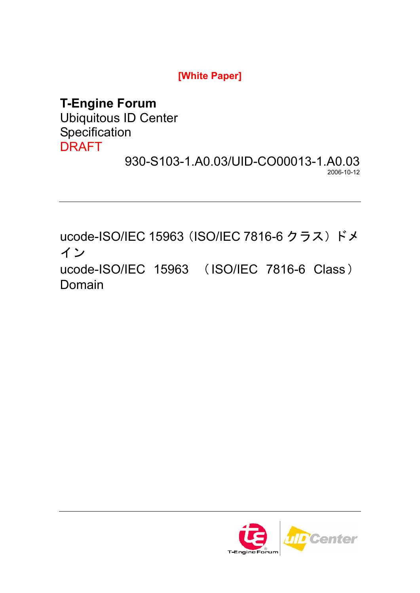**[White Paper]** 

# **T-Engine Forum**

Ubiquitous ID Center Specification DRAFT

930-S103-1.A0.03/UID-CO00013-1.A0.03 2006-10-12

ucode-ISO/IEC 15963 (ISO/IEC 7816-6 クラス) ドメ イン ucode-ISO/IEC 15963 (ISO/IEC 7816-6 Class) Domain

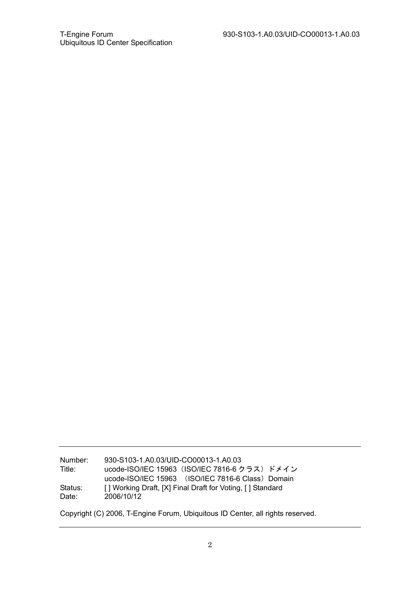Number: 930-S103-1.A0.03/UID-CO00013-1.A0.03 Title: ucode-ISO/IEC 15963(ISO/IEC 7816-6 クラス)ドメイン ucode-ISO/IEC 15963 (ISO/IEC 7816-6 Class) Domain Status: [ ] Working Draft, [X] Final Draft for Voting, [ ] Standard Date: 2006/10/12

Copyright (C) 2006, T-Engine Forum, Ubiquitous ID Center, all rights reserved.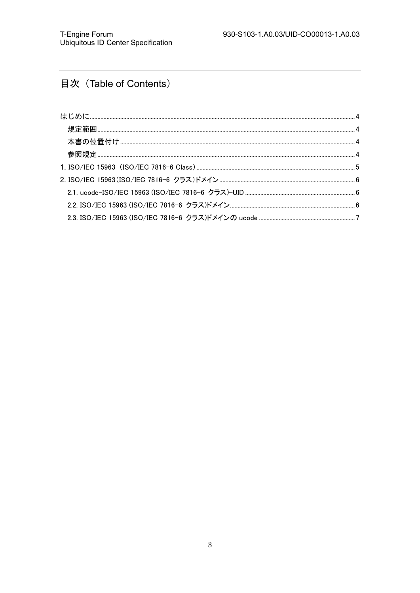## 目次 (Table of Contents)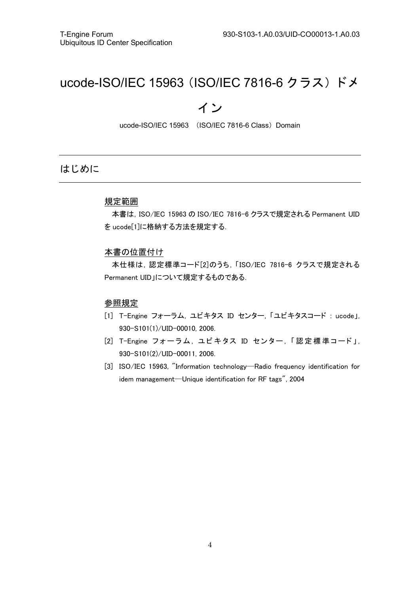# ucode-ISO/IEC 15963(ISO/IEC 7816-6 クラス)ドメ

## イン

ucode-ISO/IEC 15963 (ISO/IEC 7816-6 Class) Domain

## はじめに

#### 規定範囲

本書は,ISO/IEC 15963 の ISO/IEC 7816-6 クラスで規定される Permanent UID を ucode[1]に格納する方法を規定する.

#### 本書の位置付け

本仕様は,認定標準コード[2]のうち,「ISO/IEC 7816-6 クラスで規定される Permanent UID」について規定するものである.

#### 参照規定

- [1] T-Engine フォーラム, ユビキタス ID センター, 「ユビキタスコード : ucode」, 930-S101(1)/UID-00010, 2006.
- [2] T-Engine フォーラム, ユビキタス ID センター, 「認 定 標 準コード」, 930-S101(2)/UID-00011, 2006.
- [3] ISO/IEC 15963, "Information technology-Radio frequency identification for idem management-Unique identification for RF tags", 2004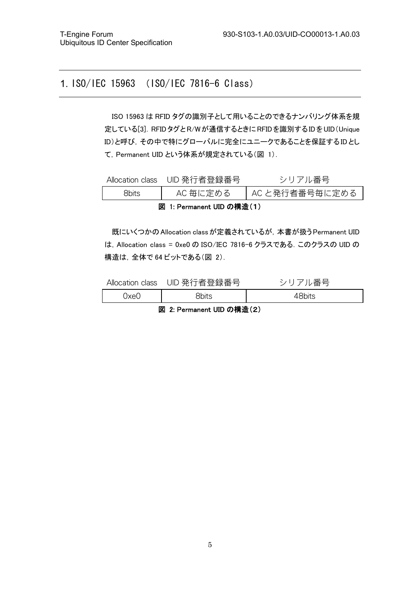## 1. ISO/IEC 15963 (ISO/IEC 7816-6 Class)

ISO 15963 は RFID タグの識別子として用いることのできるナンバリング体系を規 定している[3].RFIDタグとR/Wが通信するときにRFIDを識別するIDをUID(Unique ID)と呼び,その中で特にグローバルに完全にユニークであることを保証するIDとし て,Permanent UID という体系が規定されている(図 1).

|                           | Allocation class UID 発行者登録番号 | シリアル番号         |  |  |
|---------------------------|------------------------------|----------------|--|--|
| <b>Rhits</b>              | AC 毎に定める                     | AC と発行者番号毎に定める |  |  |
| 図 1: Permanent UID の構造(1) |                              |                |  |  |

既にいくつかのAllocation classが定義されているが,本書が扱うPermanent UID は,Allocation class = 0xe0 の ISO/IEC 7816-6 クラスである.このクラスの UID の 構造は,全体で 64 ビットである(図 2).

| Allocation class | UID 発行者登録番号 | ル番号    |
|------------------|-------------|--------|
| xe(              | 3bits       | -8bits |

図 2: Permanent UID の構造(2)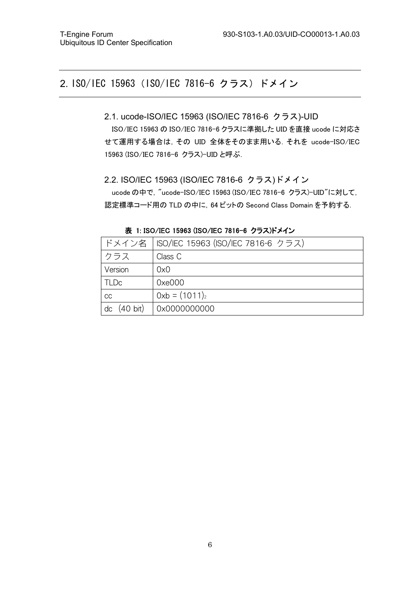## 2. ISO/IEC 15963(ISO/IEC 7816-6 クラス)ドメイン

- 2.1. ucode-ISO/IEC 15963 (ISO/IEC 7816-6 クラス)-UID ISO/IEC 15963 の ISO/IEC 7816-6 クラスに準拠した UID を直接 ucode に対応さ せて運用する場合は,その UID 全体をそのまま用いる.それを ucode-ISO/IEC 15963 (ISO/IEC 7816-6 クラス)-UID と呼ぶ.
- 2.2. ISO/IEC 15963 (ISO/IEC 7816-6 クラス)ドメイン ucode の中で, "ucode-ISO/IEC 15963 (ISO/IEC 7816-6 クラス)-UID"に対して, 認定標準コード用の TLD の中に,64 ビットの Second Class Domain を予約する.

|                | ドメイン名   ISO/IEC 15963 (ISO/IEC 7816-6 クラス) |
|----------------|--------------------------------------------|
| クラス            | Class C                                    |
| Version        | 0x0                                        |
| <b>TLDc</b>    | 0xe000                                     |
| CC             | $0xb = (1011)_2$                           |
| (40 bit)<br>dc | 0x0000000000                               |

表 1: ISO/IEC 15963 (ISO/IEC 7816-6 クラス)ドメイン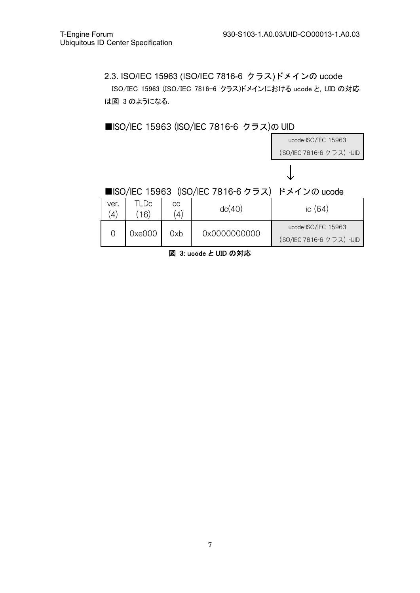2.3. ISO/IEC 15963 (ISO/IEC 7816-6 クラス)ドメインの ucode ISO/IEC 15963 (ISO/IEC 7816-6 クラス)ドメインにおける ucode と, UID の対応 は図 3 のようになる.



### ■ISO/IEC 15963 (ISO/IEC 7816-6 クラス)の UID

図 3: ucode と UID の対応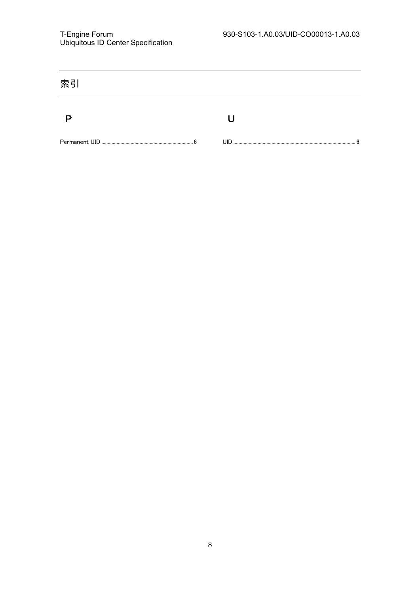| 索引 |          |
|----|----------|
|    |          |
| ĥ  | UID<br>հ |